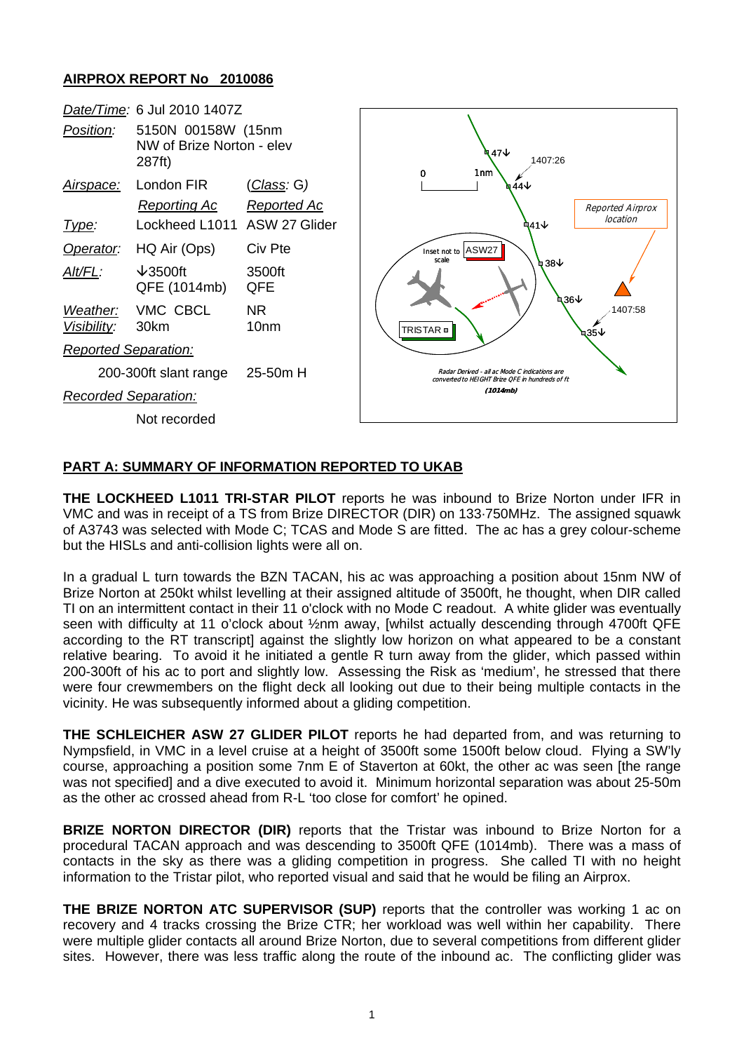## **AIRPROX REPORT No 2010086**

| Date/Time: 6 Jul 2010 1407Z |                                                           |                                   |                                                                                                  |
|-----------------------------|-----------------------------------------------------------|-----------------------------------|--------------------------------------------------------------------------------------------------|
| Position:                   | 5150N 00158W (15nm<br>NW of Brize Norton - elev<br>287ft) |                                   | ৭7↓<br>1407:26<br>1nm<br>0                                                                       |
| <u>Airspace:</u>            | London FIR<br><b>Reporting Ac</b>                         | <u>(Class</u> : G)<br>Reported Ac | <b>ष 44</b> ↓<br>Reported Airprox                                                                |
| Type:                       | Lockheed L1011 ASW 27 Glider                              |                                   | location<br>ኳ41↓                                                                                 |
| Operator:                   | HQ Air (Ops)                                              | Civ Pte                           | Inset not to ASW27<br>scale<br>Կ 38<br>436↓<br>1407:58<br>TRISTAR <b>□</b><br>$435\sqrt{ }$      |
| Alt/FL:                     | $\sqrt{3500}$ ft<br>QFE (1014mb)                          | 3500ft<br><b>QFE</b>              |                                                                                                  |
| Weather:<br>Visibility:     | VMC CBCL<br>30km                                          | NR.<br>10 <sub>nm</sub>           |                                                                                                  |
| <b>Reported Separation:</b> |                                                           |                                   |                                                                                                  |
| 200-300ft slant range       |                                                           | $25-50m$ H                        | Radar Derived - all ac Mode C indications are<br>converted to HEIGHT Brize OFE in hundreds of ft |
| <b>Recorded Separation:</b> |                                                           |                                   | (1014mb)                                                                                         |
| Not recorded                |                                                           |                                   |                                                                                                  |
|                             |                                                           |                                   |                                                                                                  |

## **PART A: SUMMARY OF INFORMATION REPORTED TO UKAB**

**THE LOCKHEED L1011 TRI-STAR PILOT** reports he was inbound to Brize Norton under IFR in VMC and was in receipt of a TS from Brize DIRECTOR (DIR) on 133·750MHz. The assigned squawk of A3743 was selected with Mode C; TCAS and Mode S are fitted. The ac has a grey colour-scheme but the HISLs and anti-collision lights were all on.

In a gradual L turn towards the BZN TACAN, his ac was approaching a position about 15nm NW of Brize Norton at 250kt whilst levelling at their assigned altitude of 3500ft, he thought, when DIR called TI on an intermittent contact in their 11 o'clock with no Mode C readout. A white glider was eventually seen with difficulty at 11 o'clock about ½nm away, [whilst actually descending through 4700ft QFE according to the RT transcript] against the slightly low horizon on what appeared to be a constant relative bearing. To avoid it he initiated a gentle R turn away from the glider, which passed within 200-300ft of his ac to port and slightly low. Assessing the Risk as 'medium', he stressed that there were four crewmembers on the flight deck all looking out due to their being multiple contacts in the vicinity. He was subsequently informed about a gliding competition.

**THE SCHLEICHER ASW 27 GLIDER PILOT** reports he had departed from, and was returning to Nympsfield, in VMC in a level cruise at a height of 3500ft some 1500ft below cloud. Flying a SW'ly course, approaching a position some 7nm E of Staverton at 60kt, the other ac was seen [the range was not specified] and a dive executed to avoid it. Minimum horizontal separation was about 25-50m as the other ac crossed ahead from R-L 'too close for comfort' he opined.

**BRIZE NORTON DIRECTOR (DIR)** reports that the Tristar was inbound to Brize Norton for a procedural TACAN approach and was descending to 3500ft QFE (1014mb). There was a mass of contacts in the sky as there was a gliding competition in progress. She called TI with no height information to the Tristar pilot, who reported visual and said that he would be filing an Airprox.

**THE BRIZE NORTON ATC SUPERVISOR (SUP)** reports that the controller was working 1 ac on recovery and 4 tracks crossing the Brize CTR; her workload was well within her capability. There were multiple glider contacts all around Brize Norton, due to several competitions from different glider sites. However, there was less traffic along the route of the inbound ac. The conflicting glider was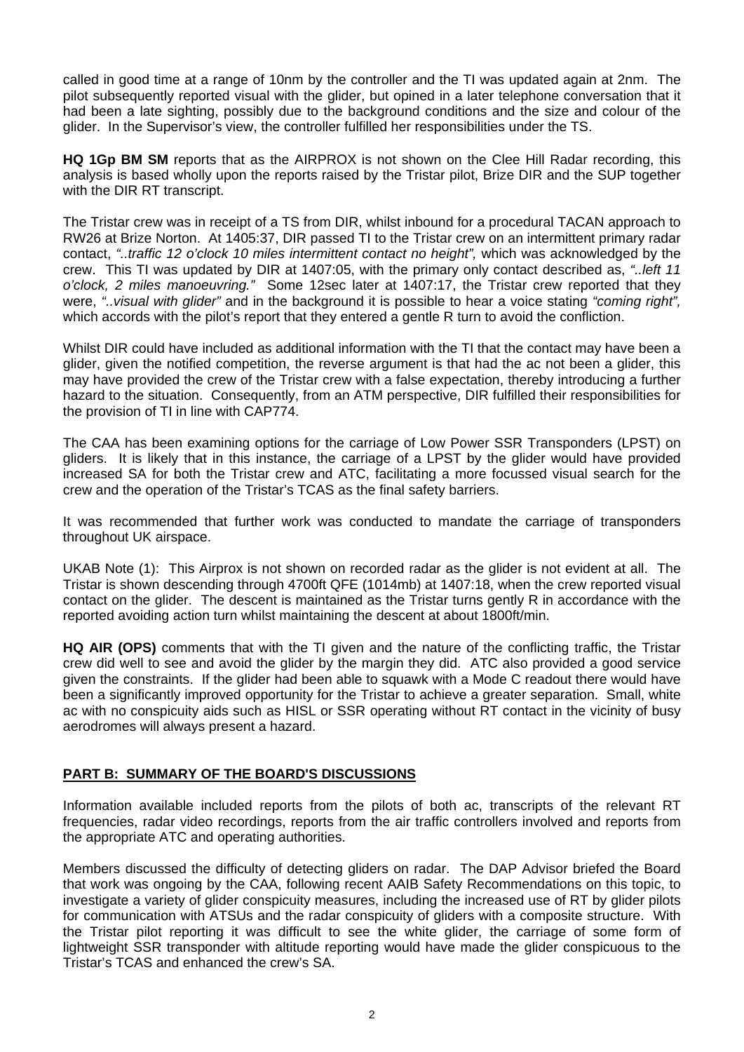called in good time at a range of 10nm by the controller and the TI was updated again at 2nm. The pilot subsequently reported visual with the glider, but opined in a later telephone conversation that it had been a late sighting, possibly due to the background conditions and the size and colour of the glider. In the Supervisor's view, the controller fulfilled her responsibilities under the TS.

**HQ 1Gp BM SM** reports that as the AIRPROX is not shown on the Clee Hill Radar recording, this analysis is based wholly upon the reports raised by the Tristar pilot, Brize DIR and the SUP together with the DIR RT transcript.

The Tristar crew was in receipt of a TS from DIR, whilst inbound for a procedural TACAN approach to RW26 at Brize Norton. At 1405:37, DIR passed TI to the Tristar crew on an intermittent primary radar contact, *"..traffic 12 o'clock 10 miles intermittent contact no height",* which was acknowledged by the crew. This TI was updated by DIR at 1407:05, with the primary only contact described as, *"..left 11 o'clock, 2 miles manoeuvring."* Some 12sec later at 1407:17, the Tristar crew reported that they were, *"..visual with glider"* and in the background it is possible to hear a voice stating *"coming right",* which accords with the pilot's report that they entered a gentle R turn to avoid the confliction.

Whilst DIR could have included as additional information with the TI that the contact may have been a glider, given the notified competition, the reverse argument is that had the ac not been a glider, this may have provided the crew of the Tristar crew with a false expectation, thereby introducing a further hazard to the situation. Consequently, from an ATM perspective, DIR fulfilled their responsibilities for the provision of TI in line with CAP774.

The CAA has been examining options for the carriage of Low Power SSR Transponders (LPST) on gliders. It is likely that in this instance, the carriage of a LPST by the glider would have provided increased SA for both the Tristar crew and ATC, facilitating a more focussed visual search for the crew and the operation of the Tristar's TCAS as the final safety barriers.

It was recommended that further work was conducted to mandate the carriage of transponders throughout UK airspace.

UKAB Note (1): This Airprox is not shown on recorded radar as the glider is not evident at all. The Tristar is shown descending through 4700ft QFE (1014mb) at 1407:18, when the crew reported visual contact on the glider. The descent is maintained as the Tristar turns gently R in accordance with the reported avoiding action turn whilst maintaining the descent at about 1800ft/min.

**HQ AIR (OPS)** comments that with the TI given and the nature of the conflicting traffic, the Tristar crew did well to see and avoid the glider by the margin they did. ATC also provided a good service given the constraints. If the glider had been able to squawk with a Mode C readout there would have been a significantly improved opportunity for the Tristar to achieve a greater separation. Small, white ac with no conspicuity aids such as HISL or SSR operating without RT contact in the vicinity of busy aerodromes will always present a hazard.

## **PART B: SUMMARY OF THE BOARD'S DISCUSSIONS**

Information available included reports from the pilots of both ac, transcripts of the relevant RT frequencies, radar video recordings, reports from the air traffic controllers involved and reports from the appropriate ATC and operating authorities.

Members discussed the difficulty of detecting gliders on radar. The DAP Advisor briefed the Board that work was ongoing by the CAA, following recent AAIB Safety Recommendations on this topic, to investigate a variety of glider conspicuity measures, including the increased use of RT by glider pilots for communication with ATSUs and the radar conspicuity of gliders with a composite structure. With the Tristar pilot reporting it was difficult to see the white glider, the carriage of some form of lightweight SSR transponder with altitude reporting would have made the glider conspicuous to the Tristar's TCAS and enhanced the crew's SA.